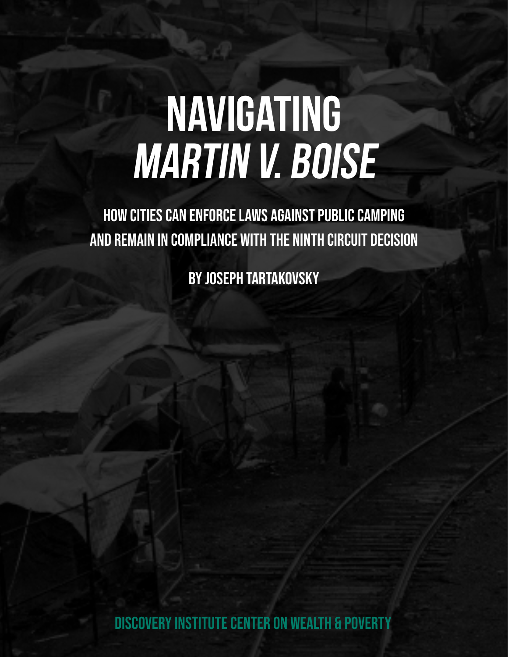# **Navigating Martin v. Boise**

How cities can enforce laws against public camping and remain in compliance with the Ninth Circuit decision

BY Joseph Tartakovsky

**INSTITUTE CENTER ON WEALTH &**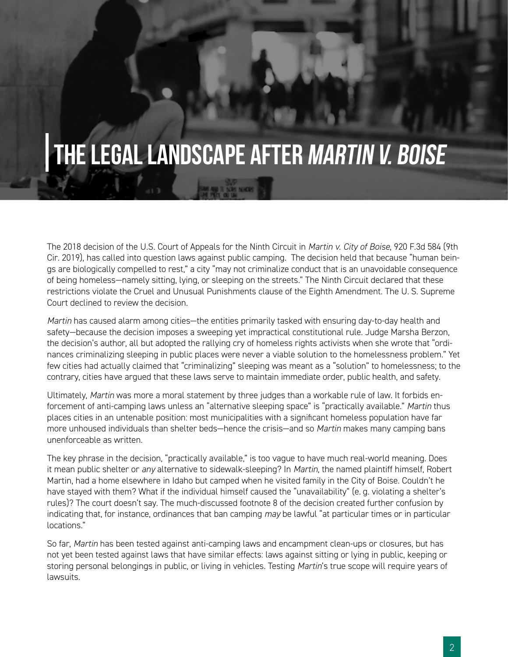### **The Legal Landscape After Martin v. Boise**

The 2018 decision of the U.S. Court of Appeals for the Ninth Circuit in *Martin v. City of Boise*, 920 F.3d 584 (9th Cir. 2019), has called into question laws against public camping. The decision held that because "human beings are biologically compelled to rest," a city "may not criminalize conduct that is an unavoidable consequence of being homeless—namely sitting, lying, or sleeping on the streets." The Ninth Circuit declared that these restrictions violate the Cruel and Unusual Punishments clause of the Eighth Amendment. The U. S. Supreme Court declined to review the decision.

*Martin* has caused alarm among cities—the entities primarily tasked with ensuring day-to-day health and safety—because the decision imposes a sweeping yet impractical constitutional rule. Judge Marsha Berzon, the decision's author, all but adopted the rallying cry of homeless rights activists when she wrote that "ordinances criminalizing sleeping in public places were never a viable solution to the homelessness problem." Yet few cities had actually claimed that "criminalizing" sleeping was meant as a "solution" to homelessness; to the contrary, cities have argued that these laws serve to maintain immediate order, public health, and safety.

Ultimately, *Martin* was more a moral statement by three judges than a workable rule of law. It forbids enforcement of anti-camping laws unless an "alternative sleeping space" is "practically available." *Martin* thus places cities in an untenable position: most municipalities with a significant homeless population have far more unhoused individuals than shelter beds—hence the crisis—and so *Martin* makes many camping bans unenforceable as written.

The key phrase in the decision, "practically available," is too vague to have much real-world meaning. Does it mean public shelter or *any* alternative to sidewalk-sleeping? In *Martin*, the named plaintiff himself, Robert Martin, had a home elsewhere in Idaho but camped when he visited family in the City of Boise. Couldn't he have stayed with them? What if the individual himself caused the "unavailability" (e. g. violating a shelter's rules)? The court doesn't say. The much-discussed footnote 8 of the decision created further confusion by indicating that, for instance, ordinances that ban camping *may* be lawful "at particular times or in particular locations."

So far, *Martin* has been tested against anti-camping laws and encampment clean-ups or closures, but has not yet been tested against laws that have similar effects: laws against sitting or lying in public, keeping or storing personal belongings in public, or living in vehicles. Testing *Martin*'s true scope will require years of lawsuits.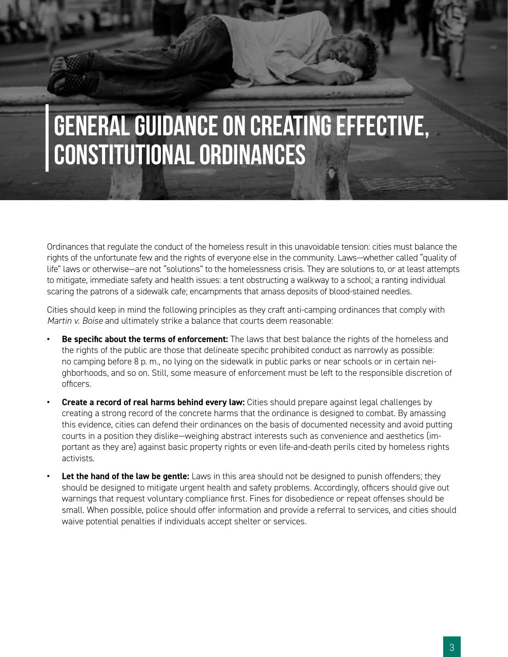#### **General Guidance on Creating Effective, Constitutional Ordinances**

Ordinances that regulate the conduct of the homeless result in this unavoidable tension: cities must balance the rights of the unfortunate few and the rights of everyone else in the community. Laws—whether called "quality of life" laws or otherwise—are not "solutions" to the homelessness crisis. They are solutions to, or at least attempts to mitigate, immediate safety and health issues: a tent obstructing a walkway to a school; a ranting individual scaring the patrons of a sidewalk cafe; encampments that amass deposits of blood-stained needles.

Cities should keep in mind the following principles as they craft anti-camping ordinances that comply with *Martin v. Boise* and ultimately strike a balance that courts deem reasonable:

- **• Be specific about the terms of enforcement:** The laws that best balance the rights of the homeless and the rights of the public are those that delineate specific prohibited conduct as narrowly as possible: no camping before 8 p. m., no lying on the sidewalk in public parks or near schools or in certain neighborhoods, and so on. Still, some measure of enforcement must be left to the responsible discretion of officers.
- **• Create a record of real harms behind every law:** Cities should prepare against legal challenges by creating a strong record of the concrete harms that the ordinance is designed to combat. By amassing this evidence, cities can defend their ordinances on the basis of documented necessity and avoid putting courts in a position they dislike—weighing abstract interests such as convenience and aesthetics (important as they are) against basic property rights or even life-and-death perils cited by homeless rights activists.
- **• Let the hand of the law be gentle:** Laws in this area should not be designed to punish offenders; they should be designed to mitigate urgent health and safety problems. Accordingly, officers should give out warnings that request voluntary compliance first. Fines for disobedience or repeat offenses should be small. When possible, police should offer information and provide a referral to services, and cities should waive potential penalties if individuals accept shelter or services.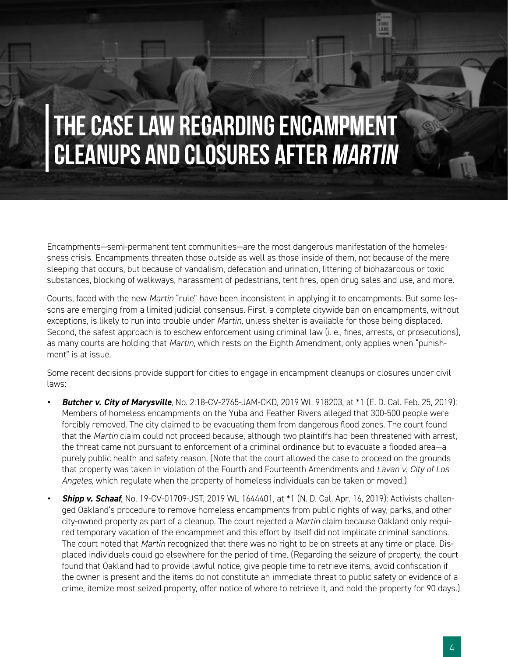#### **The Case Law Regarding Encampment Cleanups and Closures after Martin**

Encampments—semi-permanent tent communities—are the most dangerous manifestation of the homelessness crisis. Encampments threaten those outside as well as those inside of them, not because of the mere sleeping that occurs, but because of vandalism, defecation and urination, littering of biohazardous or toxic substances, blocking of walkways, harassment of pedestrians, tent fires, open drug sales and use, and more.

Courts, faced with the new *Martin* "rule" have been inconsistent in applying it to encampments*.* But some lessons are emerging from a limited judicial consensus. First, a complete citywide ban on encampments, without exceptions, is likely to run into trouble under *Martin,* unless shelter is available for those being displaced. Second, the safest approach is to eschew enforcement using criminal law (i. e., fines, arrests, or prosecutions), as many courts are holding that *Martin*, which rests on the Eighth Amendment, only applies when "punishment" is at issue.

Some recent decisions provide support for cities to engage in encampment cleanups or closures under civil laws:

- *• Butcher v. City of Marysville*, No. 2:18-CV-2765-JAM-CKD, 2019 WL 918203, at \*1 (E. D. Cal. Feb. 25, 2019): Members of homeless encampments on the Yuba and Feather Rivers alleged that 300-500 people were forcibly removed. The city claimed to be evacuating them from dangerous flood zones. The court found that the *Martin* claim could not proceed because, although two plaintiffs had been threatened with arrest, the threat came not pursuant to enforcement of a criminal ordinance but to evacuate a flooded area—a purely public health and safety reason. (Note that the court allowed the case to proceed on the grounds that property was taken in violation of the Fourth and Fourteenth Amendments and *Lavan v. City of Los Angeles*, which regulate when the property of homeless individuals can be taken or moved.)
- *• Shipp v. Schaaf*, No. 19-CV-01709-JST, 2019 WL 1644401, at \*1 (N. D. Cal. Apr. 16, 2019): Activists challenged Oakland's procedure to remove homeless encampments from public rights of way, parks, and other city-owned property as part of a cleanup. The court rejected a *Martin* claim because Oakland only required temporary vacation of the encampment and this effort by itself did not implicate criminal sanctions. The court noted that *Martin* recognized that there was no right to be on streets at any time or place. Displaced individuals could go elsewhere for the period of time. (Regarding the seizure of property, the court found that Oakland had to provide lawful notice, give people time to retrieve items, avoid confiscation if the owner is present and the items do not constitute an immediate threat to public safety or evidence of a crime, itemize most seized property, offer notice of where to retrieve it, and hold the property for 90 days.)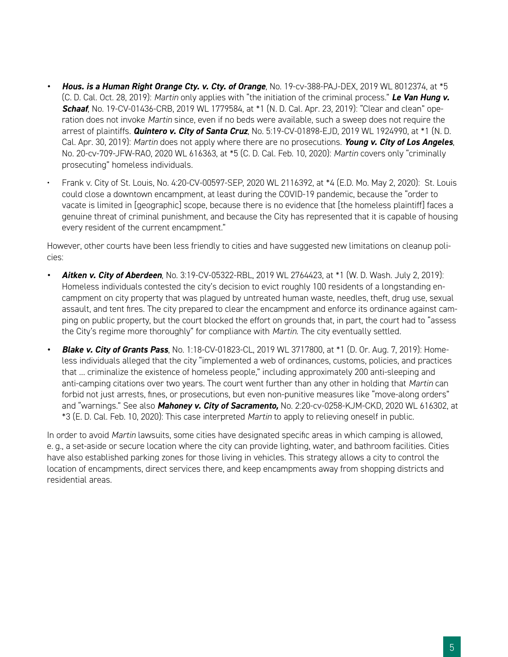- *Hous. is a Human Right Orange Cty. v. Cty. of Orange, No. 19-cv-388-PAJ-DEX, 2019 WL 8012374, at \*5* (C. D. Cal. Oct. 28, 2019): *Martin* only applies with "the initiation of the criminal process." *Le Van Hung v. Schaaf*, No. 19-CV-01436-CRB, 2019 WL 1779584, at \*1 (N. D. Cal. Apr. 23, 2019): "Clear and clean" operation does not invoke *Martin* since, even if no beds were available, such a sweep does not require the arrest of plaintiffs. *Quintero v. City of Santa Cruz*, No. 5:19-CV-01898-EJD, 2019 WL 1924990, at \*1 (N. D. Cal. Apr. 30, 2019): *Martin* does not apply where there are no prosecutions. *Young v. City of Los Angeles*, No. 20-cv-709-JFW-RAO, 2020 WL 616363, at \*5 (C. D. Cal. Feb. 10, 2020): *Martin* covers only "criminally prosecuting" homeless individuals.
- Frank v. City of St. Louis, No. 4:20-CV-00597-SEP, 2020 WL 2116392, at \*4 (E.D. Mo. May 2, 2020): St. Louis could close a downtown encampment, at least during the COVID-19 pandemic, because the "order to vacate is limited in [geographic] scope, because there is no evidence that [the homeless plaintiff] faces a genuine threat of criminal punishment, and because the City has represented that it is capable of housing every resident of the current encampment."

However, other courts have been less friendly to cities and have suggested new limitations on cleanup policies:

- *• Aitken v. City of Aberdeen*, No. 3:19-CV-05322-RBL, 2019 WL 2764423, at \*1 (W. D. Wash. July 2, 2019): Homeless individuals contested the city's decision to evict roughly 100 residents of a longstanding encampment on city property that was plagued by untreated human waste, needles, theft, drug use, sexual assault, and tent fires. The city prepared to clear the encampment and enforce its ordinance against camping on public property, but the court blocked the effort on grounds that, in part, the court had to "assess the City's regime more thoroughly" for compliance with *Martin*. The city eventually settled.
- *• Blake v. City of Grants Pass*, No. 1:18-CV-01823-CL, 2019 WL 3717800, at \*1 (D. Or. Aug. 7, 2019): Homeless individuals alleged that the city "implemented a web of ordinances, customs, policies, and practices that … criminalize the existence of homeless people," including approximately 200 anti-sleeping and anti-camping citations over two years. The court went further than any other in holding that *Martin* can forbid not just arrests, fines, or prosecutions, but even non-punitive measures like "move-along orders" and "warnings." See also *Mahoney v. City of Sacramento,* No. 2:20-cv-0258-KJM-CKD, 2020 WL 616302, at \*3 (E. D. Cal. Feb. 10, 2020): This case interpreted *Martin* to apply to relieving oneself in public.

In order to avoid *Martin* lawsuits, some cities have designated specific areas in which camping is allowed, e. g., a set-aside or secure location where the city can provide lighting, water, and bathroom facilities. Cities have also established parking zones for those living in vehicles. This strategy allows a city to control the location of encampments, direct services there, and keep encampments away from shopping districts and residential areas.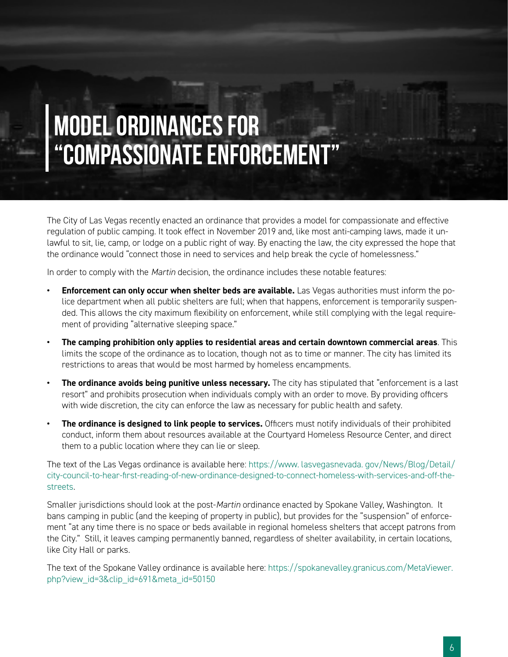#### **Model Ordinances for "Compassionate Enforcement"**

The City of Las Vegas recently enacted an ordinance that provides a model for compassionate and effective regulation of public camping. It took effect in November 2019 and, like most anti-camping laws, made it unlawful to sit, lie, camp, or lodge on a public right of way. By enacting the law, the city expressed the hope that the ordinance would "connect those in need to services and help break the cycle of homelessness."

In order to comply with the *Martin* decision, the ordinance includes these notable features:

- **• Enforcement can only occur when shelter beds are available.** Las Vegas authorities must inform the police department when all public shelters are full; when that happens, enforcement is temporarily suspended. This allows the city maximum flexibility on enforcement, while still complying with the legal requirement of providing "alternative sleeping space."
- **• The camping prohibition only applies to residential areas and certain downtown commercial areas**. This limits the scope of the ordinance as to location, though not as to time or manner. The city has limited its restrictions to areas that would be most harmed by homeless encampments.
- **The ordinance avoids being punitive unless necessary.** The city has stipulated that "enforcement is a last resort" and prohibits prosecution when individuals comply with an order to move. By providing officers with wide discretion, the city can enforce the law as necessary for public health and safety.
- **• The ordinance is designed to link people to services.** Officers must notify individuals of their prohibited conduct, inform them about resources available at the Courtyard Homeless Resource Center, and direct them to a public location where they can lie or sleep.

The text of the Las Vegas ordinance is available here: https://www. lasvegasnevada. [gov/News/Blog/Detail/](https://www. lasvegasnevada. gov/News/Blog/Detail/city-council-to-hear-first-reading-of-new-ordinance-designed-to-connect-homeless-with-services-and-off-the-streets) [city-council-to-hear-first-reading-of-new-ordinance-designed-to-connect-homeless-with-services-and-off-the](https://www. lasvegasnevada. gov/News/Blog/Detail/city-council-to-hear-first-reading-of-new-ordinance-designed-to-connect-homeless-with-services-and-off-the-streets)[streets](https://www. lasvegasnevada. gov/News/Blog/Detail/city-council-to-hear-first-reading-of-new-ordinance-designed-to-connect-homeless-with-services-and-off-the-streets).

Smaller jurisdictions should look at the post-*Martin* ordinance enacted by Spokane Valley, Washington. It bans camping in public (and the keeping of property in public), but provides for the "suspension" of enforcement "at any time there is no space or beds available in regional homeless shelters that accept patrons from the City." Still, it leaves camping permanently banned, regardless of shelter availability, in certain locations, like City Hall or parks.

The text of the Spokane Valley ordinance is available here: [https://spokanevalley.granicus.com/MetaViewer.](https://spokanevalley.granicus.com/MetaViewer.php?view_id=3&clip_id=691&meta_id=50150) [php?view\\_id=3&clip\\_id=691&meta\\_id=50150](https://spokanevalley.granicus.com/MetaViewer.php?view_id=3&clip_id=691&meta_id=50150)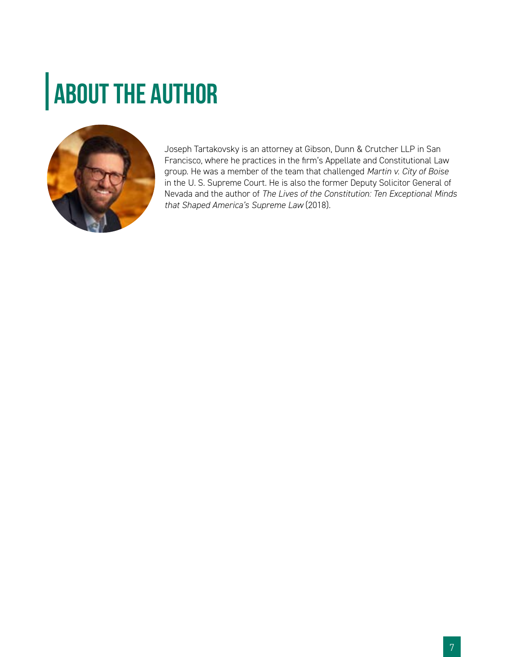## **About the Author**



Joseph Tartakovsky is an attorney at Gibson, Dunn & Crutcher LLP in San Francisco, where he practices in the firm's Appellate and Constitutional Law group. He was a member of the team that challenged *Martin v. City of Boise*  in the U. S. Supreme Court. He is also the former Deputy Solicitor General of Nevada and the author of *The Lives of the Constitution: Ten Exceptional Minds that Shaped America's Supreme Law* (2018).